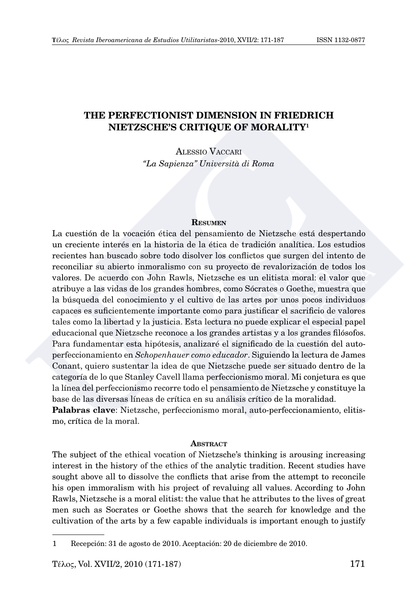# **THE PERFECTIONIST DIMENSION IN FRIEDRICH NIETZSCHE'S CRITIQUE OF MORALITY1**

Alessio Vaccari *"La Sapienza" Università di Roma*

#### **Resumen**

La cuestión de la vocación ética del pensamiento de Nietzsche está despertando un creciente interés en la historia de la ética de tradición analítica. Los estudios recientes han buscado sobre todo disolver los conflictos que surgen del intento de reconciliar su abierto inmoralismo con su proyecto de revalorización de todos los valores. De acuerdo con John Rawls, Nietzsche es un elitista moral: el valor que atribuye a las vidas de los grandes hombres, como Sócrates o Goethe, muestra que la búsqueda del conocimiento y el cultivo de las artes por unos pocos individuos capaces es suficientemente importante como para justificar el sacrificio de valores tales como la libertad y la justicia. Esta lectura no puede explicar el especial papel educacional que Nietzsche reconoce a los grandes artistas y a los grandes filósofos. Para fundamentar esta hipótesis, analizaré el significado de la cuestión del autoperfeccionamiento en *Schopenhauer como educador*. Siguiendo la lectura de James Conant, quiero sustentar la idea de que Nietzsche puede ser situado dentro de la categoría de lo que Stanley Cavell llama perfeccionismo moral. Mi conjetura es que la línea del perfeccionismo recorre todo el pensamiento de Nietzsche y constituye la base de las diversas líneas de crítica en su análisis crítico de la moralidad. **Palabras clave**: Nietzsche, perfeccionismo moral, auto-perfeccionamiento, elitismo, crítica de la moral.

#### **ABSTRACT**

The subject of the ethical vocation of Nietzsche's thinking is arousing increasing interest in the history of the ethics of the analytic tradition. Recent studies have sought above all to dissolve the conflicts that arise from the attempt to reconcile his open immoralism with his project of revaluing all values. According to John Rawls, Nietzsche is a moral elitist: the value that he attributes to the lives of great men such as Socrates or Goethe shows that the search for knowledge and the cultivation of the arts by a few capable individuals is important enough to justify

<sup>1</sup> Recepción: 31 de agosto de 2010. Aceptación: 20 de diciembre de 2010.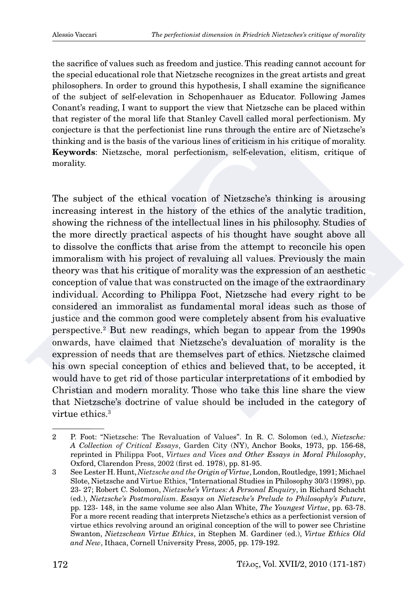the sacrifice of values such as freedom and justice. This reading cannot account for the special educational role that Nietzsche recognizes in the great artists and great philosophers. In order to ground this hypothesis, I shall examine the significance of the subject of self-elevation in Schopenhauer as Educator. Following James Conant's reading, I want to support the view that Nietzsche can be placed within that register of the moral life that Stanley Cavell called moral perfectionism. My conjecture is that the perfectionist line runs through the entire arc of Nietzsche's thinking and is the basis of the various lines of criticism in his critique of morality. **Keywords**: Nietzsche, moral perfectionism, self-elevation, elitism, critique of morality.

The subject of the ethical vocation of Nietzsche's thinking is arousing increasing interest in the history of the ethics of the analytic tradition, showing the richness of the intellectual lines in his philosophy. Studies of the more directly practical aspects of his thought have sought above all to dissolve the conflicts that arise from the attempt to reconcile his open immoralism with his project of revaluing all values. Previously the main theory was that his critique of morality was the expression of an aesthetic conception of value that was constructed on the image of the extraordinary individual. According to Philippa Foot, Nietzsche had every right to be considered an immoralist as fundamental moral ideas such as those of justice and the common good were completely absent from his evaluative perspective.2 But new readings, which began to appear from the 1990s onwards, have claimed that Nietzsche's devaluation of morality is the expression of needs that are themselves part of ethics. Nietzsche claimed his own special conception of ethics and believed that, to be accepted, it would have to get rid of those particular interpretations of it embodied by Christian and modern morality. Those who take this line share the view that Nietzsche's doctrine of value should be included in the category of virtue ethics.<sup>3</sup>

<sup>2</sup> P. Foot: "Nietzsche: The Revaluation of Values". In R. C. Solomon (ed.), *Nietzsche: A Collection of Critical Essays*, Garden City (NY), Anchor Books, 1973, pp. 156-68, reprinted in Philippa Foot, *Virtues and Vices and Other Essays in Moral Philosophy*, Oxford, Clarendon Press, 2002 (first ed. 1978), pp. 81-95.

<sup>3</sup> See Lester H. Hunt, *Nietzsche and the Origin of Virtue*, London, Routledge, 1991; Michael Slote, Nietzsche and Virtue Ethics, "International Studies in Philosophy 30/3 (1998), pp. 23- 27; Robert C. Solomon, *Nietzsche's Virtues: A Personal Enquiry*, in Richard Schacht (ed.), *Nietzsche's Postmoralism*. *Essays on Nietzsche's Prelude to Philosophy's Future*, pp. 123- 148, in the same volume see also Alan White, *The Youngest Virtue*, pp. 63-78. For a more recent reading that interprets Nietzsche's ethics as a perfectionist version of virtue ethics revolving around an original conception of the will to power see Christine Swanton, *Nietzschean Virtue Ethics*, in Stephen M. Gardiner (ed.), *Virtue Ethics Old and New*, Ithaca, Cornell University Press, 2005, pp. 179-192.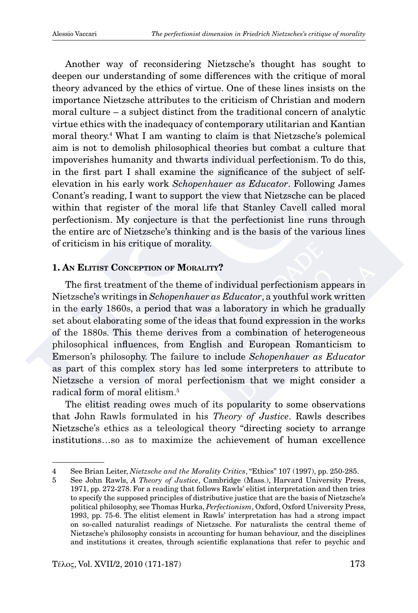Another way of reconsidering Nietzsche's thought has sought to deepen our understanding of some differences with the critique of moral theory advanced by the ethics of virtue. One of these lines insists on the importance Nietzsche attributes to the criticism of Christian and modern moral culture – a subject distinct from the traditional concern of analytic virtue ethics with the inadequacy of contemporary utilitarian and Kantian moral theory.4 What I am wanting to claim is that Nietzsche's polemical aim is not to demolish philosophical theories but combat a culture that impoverishes humanity and thwarts individual perfectionism. To do this, in the first part I shall examine the significance of the subject of selfelevation in his early work *Schopenhauer as Educator*. Following James Conant's reading, I want to support the view that Nietzsche can be placed within that register of the moral life that Stanley Cavell called moral perfectionism. My conjecture is that the perfectionist line runs through the entire arc of Nietzsche's thinking and is the basis of the various lines of criticism in his critique of morality.

## **1. An Elitist Conception of Morality?**

The first treatment of the theme of individual perfectionism appears in Nietzsche's writings in *Schopenhauer as Educator*, a youthful work written in the early 1860s, a period that was a laboratory in which he gradually set about elaborating some of the ideas that found expression in the works of the 1880s. This theme derives from a combination of heterogeneous philosophical influences, from English and European Romanticism to Emerson's philosophy. The failure to include *Schopenhauer as Educator* as part of this complex story has led some interpreters to attribute to Nietzsche a version of moral perfectionism that we might consider a radical form of moral elitism.5

The elitist reading owes much of its popularity to some observations that John Rawls formulated in his *Theory of Justice*. Rawls describes Nietzsche's ethics as a teleological theory "directing society to arrange institutions…so as to maximize the achievement of human excellence

<sup>4</sup> See Brian Leiter, *Nietzsche and the Morality Critics*, "Ethics" 107 (1997), pp. 250-285.

<sup>5</sup> See John Rawls, *A Theory of Justice*, Cambridge (Mass.), Harvard University Press, 1971, pp. 272-278. For a reading that follows Rawls' elitist interpretation and then tries to specify the supposed principles of distributive justice that are the basis of Nietzsche's political philosophy, see Thomas Hurka, *Perfectionism*, Oxford, Oxford University Press, 1993, pp. 75-6. The elitist element in Rawls' interpretation has had a strong impact on so-called naturalist readings of Nietzsche. For naturalists the central theme of Nietzsche's philosophy consists in accounting for human behaviour, and the disciplines and institutions it creates, through scientific explanations that refer to psychic and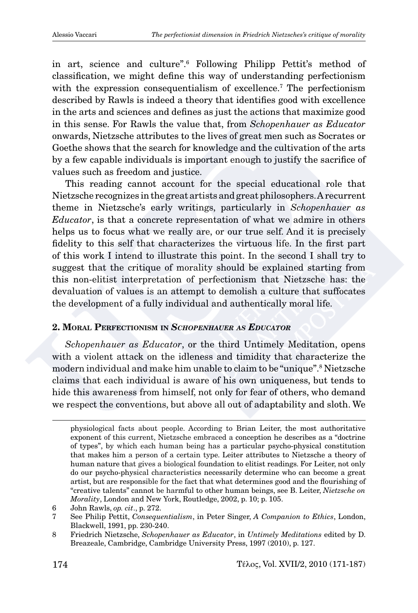in art, science and culture".6 Following Philipp Pettit's method of classification, we might define this way of understanding perfectionism with the expression consequentialism of excellence.<sup>7</sup> The perfectionism described by Rawls is indeed a theory that identifies good with excellence in the arts and sciences and defines as just the actions that maximize good in this sense. For Rawls the value that, from *Schopenhauer as Educator* onwards, Nietzsche attributes to the lives of great men such as Socrates or Goethe shows that the search for knowledge and the cultivation of the arts by a few capable individuals is important enough to justify the sacrifice of values such as freedom and justice.

This reading cannot account for the special educational role that Nietzsche recognizes in the great artists and great philosophers. A recurrent theme in Nietzsche's early writings, particularly in *Schopenhauer as Educator*, is that a concrete representation of what we admire in others helps us to focus what we really are, or our true self. And it is precisely fidelity to this self that characterizes the virtuous life. In the first part of this work I intend to illustrate this point. In the second I shall try to suggest that the critique of morality should be explained starting from this non-elitist interpretation of perfectionism that Nietzsche has: the devaluation of values is an attempt to demolish a culture that suffocates the development of a fully individual and authentically moral life.

# **2. Moral Perfectionism in** *Schopenhauer as Educator*

*Schopenhauer as Educator*, or the third Untimely Meditation, opens with a violent attack on the idleness and timidity that characterize the modern individual and make him unable to claim to be "unique".8 Nietzsche claims that each individual is aware of his own uniqueness, but tends to hide this awareness from himself, not only for fear of others, who demand we respect the conventions, but above all out of adaptability and sloth. We

physiological facts about people. According to Brian Leiter, the most authoritative exponent of this current, Nietzsche embraced a conception he describes as a "doctrine of types", by which each human being has a particular psycho-physical constitution that makes him a person of a certain type. Leiter attributes to Nietzsche a theory of human nature that gives a biological foundation to elitist readings. For Leiter, not only do our psycho-physical characteristics necessarily determine who can become a great artist, but are responsible for the fact that what determines good and the flourishing of "creative talents" cannot be harmful to other human beings, see B. Leiter, *Nietzsche on Morality*, London and New York, Routledge, 2002, p. 10; p. 105.

<sup>6</sup> John Rawls, *op. cit*., p. 272.

<sup>7</sup> See Philip Pettit, *Consequentialism*, in Peter Singer, *A Companion to Ethics*, London, Blackwell, 1991, pp. 230-240.

<sup>8</sup> Friedrich Nietzsche, *Schopenhauer as Educator*, in *Untimely Meditations* edited by D. Breazeale, Cambridge, Cambridge University Press, 1997 (2010), p. 127.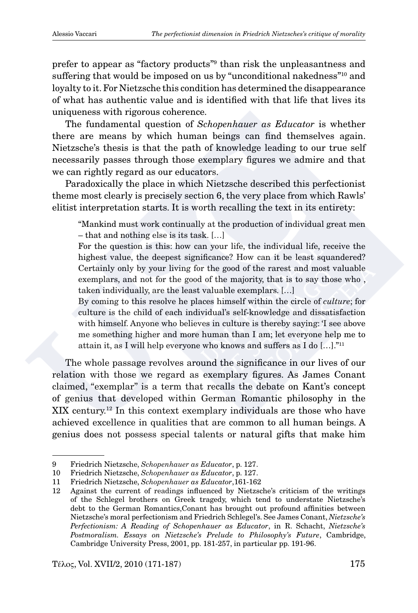prefer to appear as "factory products"9 than risk the unpleasantness and suffering that would be imposed on us by "unconditional nakedness"10 and loyalty to it. For Nietzsche this condition has determined the disappearance of what has authentic value and is identified with that life that lives its uniqueness with rigorous coherence.

The fundamental question of *Schopenhauer as Educator* is whether there are means by which human beings can find themselves again. Nietzsche's thesis is that the path of knowledge leading to our true self necessarily passes through those exemplary figures we admire and that we can rightly regard as our educators.

Paradoxically the place in which Nietzsche described this perfectionist theme most clearly is precisely section 6, the very place from which Rawls' elitist interpretation starts. It is worth recalling the text in its entirety:

"Mankind must work continually at the production of individual great men – that and nothing else is its task. […]

For the question is this: how can your life, the individual life, receive the highest value, the deepest significance? How can it be least squandered? Certainly only by your living for the good of the rarest and most valuable exemplars, and not for the good of the majority, that is to say those who , taken individually, are the least valuable exemplars. […]

By coming to this resolve he places himself within the circle of *culture*; for culture is the child of each individual's self-knowledge and dissatisfaction with himself. Anyone who believes in culture is thereby saying: 'I see above me something higher and more human than I am; let everyone help me to attain it, as I will help everyone who knows and suffers as I do […]."11

The whole passage revolves around the significance in our lives of our relation with those we regard as exemplary figures. As James Conant claimed, "exemplar" is a term that recalls the debate on Kant's concept of genius that developed within German Romantic philosophy in the XIX century.12 In this context exemplary individuals are those who have achieved excellence in qualities that are common to all human beings. A genius does not possess special talents or natural gifts that make him

<sup>9</sup> Friedrich Nietzsche, *Schopenhauer as Educator*, p. 127.

<sup>10</sup> Friedrich Nietzsche, *Schopenhauer as Educator*, p. 127.

<sup>11</sup> Friedrich Nietzsche, *Schopenhauer as Educator*,161-162

<sup>12</sup> Against the current of readings influenced by Nietzsche's criticism of the writings of the Schlegel brothers on Greek tragedy, which tend to understate Nietzsche's debt to the German Romantics,Conant has brought out profound affinities between Nietzsche's moral perfectionism and Friedrich Schlegel's. See James Conant, *Nietzsche's Perfectionism: A Reading of Schopenhauer as Educator*, in R. Schacht, *Nietzsche's Postmoralism. Essays on Nietzsche's Prelude to Philosophy's Future*, Cambridge, Cambridge University Press, 2001, pp. 181-257, in particular pp. 191-96.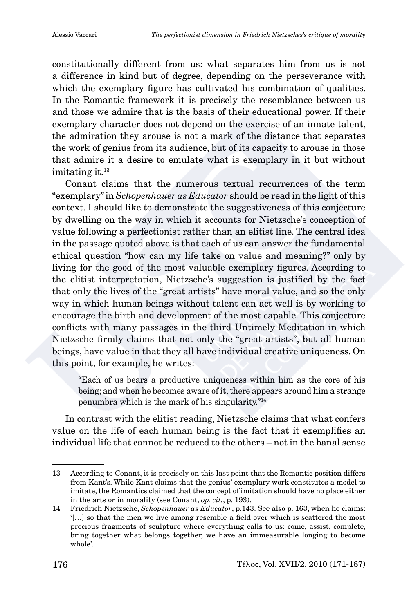constitutionally different from us: what separates him from us is not a difference in kind but of degree, depending on the perseverance with which the exemplary figure has cultivated his combination of qualities. In the Romantic framework it is precisely the resemblance between us and those we admire that is the basis of their educational power. If their exemplary character does not depend on the exercise of an innate talent, the admiration they arouse is not a mark of the distance that separates the work of genius from its audience, but of its capacity to arouse in those that admire it a desire to emulate what is exemplary in it but without imitating it.<sup>13</sup>

Conant claims that the numerous textual recurrences of the term "exemplary" in *Schopenhauer as Educator* should be read in the light of this context. I should like to demonstrate the suggestiveness of this conjecture by dwelling on the way in which it accounts for Nietzsche's conception of value following a perfectionist rather than an elitist line. The central idea in the passage quoted above is that each of us can answer the fundamental ethical question "how can my life take on value and meaning?" only by living for the good of the most valuable exemplary figures. According to the elitist interpretation, Nietzsche's suggestion is justified by the fact that only the lives of the "great artists" have moral value, and so the only way in which human beings without talent can act well is by working to encourage the birth and development of the most capable. This conjecture conflicts with many passages in the third Untimely Meditation in which Nietzsche firmly claims that not only the "great artists", but all human beings, have value in that they all have individual creative uniqueness. On this point, for example, he writes:

"Each of us bears a productive uniqueness within him as the core of his being; and when he becomes aware of it, there appears around him a strange penumbra which is the mark of his singularity."14

In contrast with the elitist reading, Nietzsche claims that what confers value on the life of each human being is the fact that it exemplifies an individual life that cannot be reduced to the others – not in the banal sense

<sup>13</sup> According to Conant, it is precisely on this last point that the Romantic position differs from Kant's. While Kant claims that the genius' exemplary work constitutes a model to imitate, the Romantics claimed that the concept of imitation should have no place either in the arts or in morality (see Conant, *op. cit.*, p. 193).

<sup>14</sup> Friedrich Nietzsche, *Schopenhauer as Educator*, p.143. See also p. 163, when he claims: '[…] so that the men we live among resemble a field over which is scattered the most precious fragments of sculpture where everything calls to us: come, assist, complete, bring together what belongs together, we have an immeasurable longing to become whole'.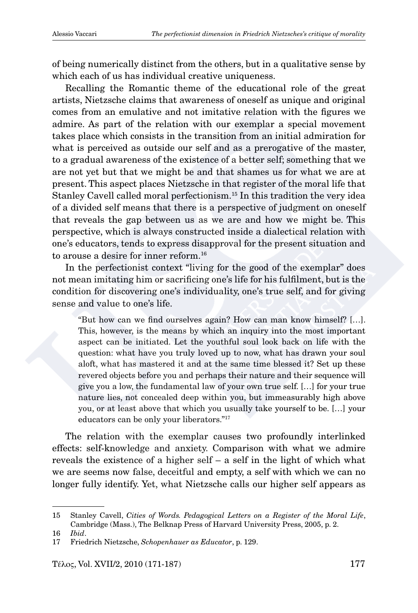of being numerically distinct from the others, but in a qualitative sense by which each of us has individual creative uniqueness.

Recalling the Romantic theme of the educational role of the great artists, Nietzsche claims that awareness of oneself as unique and original comes from an emulative and not imitative relation with the figures we admire. As part of the relation with our exemplar a special movement takes place which consists in the transition from an initial admiration for what is perceived as outside our self and as a prerogative of the master, to a gradual awareness of the existence of a better self; something that we are not yet but that we might be and that shames us for what we are at present. This aspect places Nietzsche in that register of the moral life that Stanley Cavell called moral perfectionism.15 In this tradition the very idea of a divided self means that there is a perspective of judgment on oneself that reveals the gap between us as we are and how we might be. This perspective, which is always constructed inside a dialectical relation with one's educators, tends to express disapproval for the present situation and to arouse a desire for inner reform.<sup>16</sup>

In the perfectionist context "living for the good of the exemplar" does not mean imitating him or sacrificing one's life for his fulfilment, but is the condition for discovering one's individuality, one's true self, and for giving sense and value to one's life.

"But how can we find ourselves again? How can man know himself? […]. This, however, is the means by which an inquiry into the most important aspect can be initiated. Let the youthful soul look back on life with the question: what have you truly loved up to now, what has drawn your soul aloft, what has mastered it and at the same time blessed it? Set up these revered objects before you and perhaps their nature and their sequence will give you a low, the fundamental law of your own true self. […] for your true nature lies, not concealed deep within you, but immeasurably high above you, or at least above that which you usually take yourself to be. […] your educators can be only your liberators."17

The relation with the exemplar causes two profoundly interlinked effects: self-knowledge and anxiety. Comparison with what we admire reveals the existence of a higher self – a self in the light of which what we are seems now false, deceitful and empty, a self with which we can no longer fully identify. Yet, what Nietzsche calls our higher self appears as

<sup>15</sup> Stanley Cavell, *Cities of Words. Pedagogical Letters on a Register of the Moral Life*, Cambridge (Mass.), The Belknap Press of Harvard University Press, 2005, p. 2.

<sup>16</sup> *Ibid*.

<sup>17</sup> Friedrich Nietzsche, *Schopenhauer as Educator*, p. 129.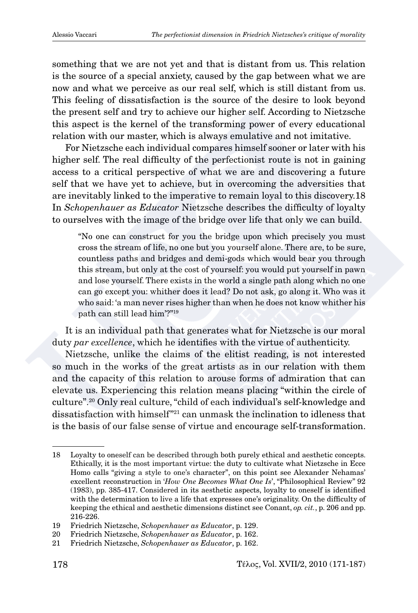something that we are not yet and that is distant from us. This relation is the source of a special anxiety, caused by the gap between what we are now and what we perceive as our real self, which is still distant from us. This feeling of dissatisfaction is the source of the desire to look beyond the present self and try to achieve our higher self. According to Nietzsche this aspect is the kernel of the transforming power of every educational relation with our master, which is always emulative and not imitative.

For Nietzsche each individual compares himself sooner or later with his higher self. The real difficulty of the perfectionist route is not in gaining access to a critical perspective of what we are and discovering a future self that we have yet to achieve, but in overcoming the adversities that are inevitably linked to the imperative to remain loyal to this discovery.18 In *Schopenhauer as Educator* Nietzsche describes the difficulty of loyalty to ourselves with the image of the bridge over life that only we can build.

"No one can construct for you the bridge upon which precisely you must cross the stream of life, no one but you yourself alone. There are, to be sure, countless paths and bridges and demi-gods which would bear you through this stream, but only at the cost of yourself: you would put yourself in pawn and lose yourself. There exists in the world a single path along which no one can go except you: whither does it lead? Do not ask, go along it. Who was it who said: 'a man never rises higher than when he does not know whither his path can still lead him'?"19

It is an individual path that generates what for Nietzsche is our moral duty *par excellence*, which he identifies with the virtue of authenticity.

Nietzsche, unlike the claims of the elitist reading, is not interested so much in the works of the great artists as in our relation with them and the capacity of this relation to arouse forms of admiration that can elevate us. Experiencing this relation means placing "within the circle of culture".20 Only real culture, "child of each individual's self-knowledge and dissatisfaction with himself"21 can unmask the inclination to idleness that is the basis of our false sense of virtue and encourage self-transformation.

<sup>18</sup> Loyalty to oneself can be described through both purely ethical and aesthetic concepts. Ethically, it is the most important virtue: the duty to cultivate what Nietzsche in Ecce Homo calls "giving a style to one's character", on this point see Alexander Nehamas' excellent reconstruction in '*How One Becomes What One Is*', "Philosophical Review" 92 (1983), pp. 385-417. Considered in its aesthetic aspects, loyalty to oneself is identified with the determination to live a life that expresses one's originality. On the difficulty of keeping the ethical and aesthetic dimensions distinct see Conant, *op. cit.*, p. 206 and pp. 216-226.

<sup>19</sup> Friedrich Nietzsche, *Schopenhauer as Educator*, p. 129.

<sup>20</sup> Friedrich Nietzsche, *Schopenhauer as Educator*, p. 162.

<sup>21</sup> Friedrich Nietzsche, *Schopenhauer as Educator*, p. 162.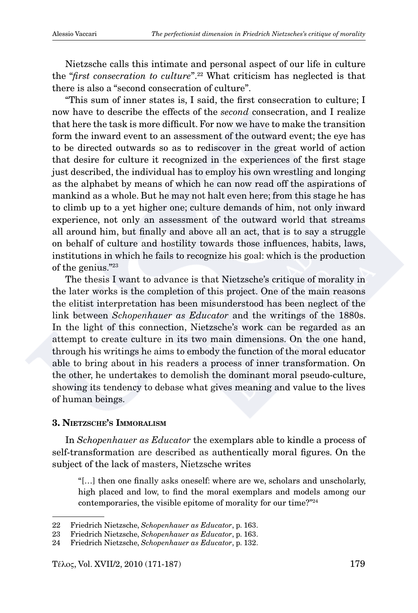Nietzsche calls this intimate and personal aspect of our life in culture the "*first consecration to culture*".22 What criticism has neglected is that there is also a "second consecration of culture".

"This sum of inner states is, I said, the first consecration to culture; I now have to describe the effects of the *second* consecration, and I realize that here the task is more difficult. For now we have to make the transition form the inward event to an assessment of the outward event; the eve has to be directed outwards so as to rediscover in the great world of action that desire for culture it recognized in the experiences of the first stage just described, the individual has to employ his own wrestling and longing as the alphabet by means of which he can now read off the aspirations of mankind as a whole. But he may not halt even here; from this stage he has to climb up to a yet higher one; culture demands of him, not only inward experience, not only an assessment of the outward world that streams all around him, but finally and above all an act, that is to say a struggle on behalf of culture and hostility towards those influences, habits, laws, institutions in which he fails to recognize his goal: which is the production of the genius."23

The thesis I want to advance is that Nietzsche's critique of morality in the later works is the completion of this project. One of the main reasons the elitist interpretation has been misunderstood has been neglect of the link between *Schopenhauer as Educator* and the writings of the 1880s. In the light of this connection, Nietzsche's work can be regarded as an attempt to create culture in its two main dimensions. On the one hand, through his writings he aims to embody the function of the moral educator able to bring about in his readers a process of inner transformation. On the other, he undertakes to demolish the dominant moral pseudo-culture, showing its tendency to debase what gives meaning and value to the lives of human beings.

### **3. Nietzsche's Immoralism**

In *Schopenhauer as Educator* the exemplars able to kindle a process of self-transformation are described as authentically moral figures. On the subject of the lack of masters, Nietzsche writes

"[…] then one finally asks oneself: where are we, scholars and unscholarly, high placed and low, to find the moral exemplars and models among our contemporaries, the visible epitome of morality for our time?"24

<sup>22</sup> Friedrich Nietzsche, *Schopenhauer as Educator*, p. 163.

<sup>23</sup> Friedrich Nietzsche, *Schopenhauer as Educator*, p. 163.

<sup>24</sup> Friedrich Nietzsche, *Schopenhauer as Educator*, p. 132.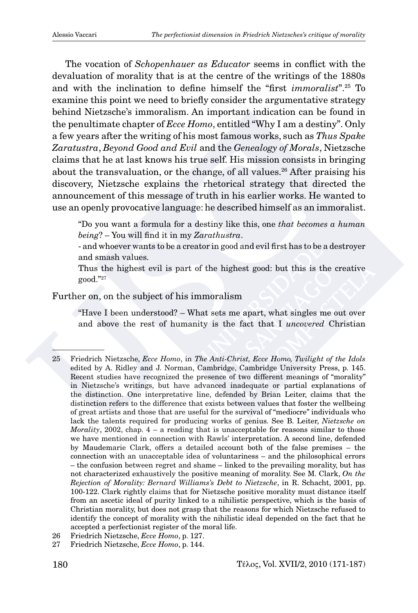The vocation of *Schopenhauer as Educator* seems in conflict with the devaluation of morality that is at the centre of the writings of the 1880s and with the inclination to define himself the "first *immoralist*".25 To examine this point we need to briefly consider the argumentative strategy behind Nietzsche's immoralism. An important indication can be found in the penultimate chapter of *Ecce Homo*, entitled "Why I am a destiny". Only a few years after the writing of his most famous works, such as *Thus Spake Zaratustra*, *Beyond Good and Evil* and the *Genealogy of Morals*, Nietzsche claims that he at last knows his true self. His mission consists in bringing about the transvaluation, or the change, of all values.<sup>26</sup> After praising his discovery, Nietzsche explains the rhetorical strategy that directed the announcement of this message of truth in his earlier works. He wanted to use an openly provocative language: he described himself as an immoralist.

"Do you want a formula for a destiny like this, one *that becomes a human being*? – You will find it in my *Zarathustra*.

- and whoever wants to be a creator in good and evil first has to be a destroyer and smash values.

Thus the highest evil is part of the highest good: but this is the creative good."27

# Further on, on the subject of his immoralism

"Have I been understood? – What sets me apart, what singles me out over and above the rest of humanity is the fact that I *uncovered* Christian

<sup>25</sup> Friedrich Nietzsche, *Ecce Homo*, in *The Anti-Christ, Ecce Homo, Twilight of the Idols*  edited by A. Ridley and J. Norman, Cambridge, Cambridge University Press, p. 145. Recent studies have recognized the presence of two different meanings of "morality" in Nietzsche's writings, but have advanced inadequate or partial explanations of the distinction. One interpretative line, defended by Brian Leiter, claims that the distinction refers to the difference that exists between values that foster the wellbeing of great artists and those that are useful for the survival of "mediocre" individuals who lack the talents required for producing works of genius. See B. Leiter, *Nietzsche on Morality*, 2002, chap. 4 – a reading that is unacceptable for reasons similar to those we have mentioned in connection with Rawls' interpretation. A second line, defended by Maudemarie Clark, offers a detailed account both of the false premises – the connection with an unacceptable idea of voluntariness – and the philosophical errors – the confusion between regret and shame – linked to the prevailing morality, but has not characterized exhaustively the positive meaning of morality. See M. Clark, *On the Rejection of Morality: Bernard Williams's Debt to Nietzsche*, in R. Schacht, 2001, pp. 100-122. Clark rightly claims that for Nietzsche positive morality must distance itself from an ascetic ideal of purity linked to a nihilistic perspective, which is the basis of Christian morality, but does not grasp that the reasons for which Nietzsche refused to identify the concept of morality with the nihilistic ideal depended on the fact that he accepted a perfectionist register of the moral life.

<sup>26</sup> Friedrich Nietzsche, *Ecce Homo*, p. 127.

<sup>27</sup> Friedrich Nietzsche, *Ecce Homo*, p. 144.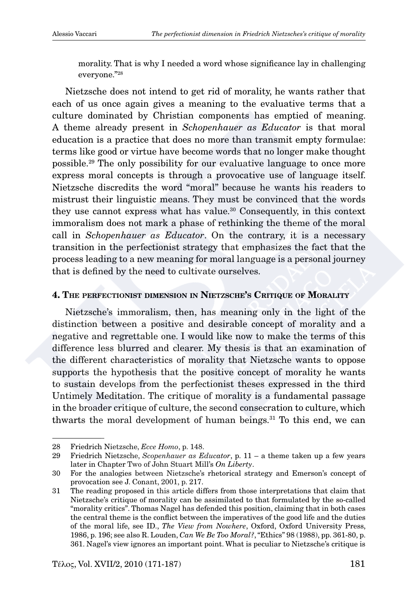morality. That is why I needed a word whose significance lay in challenging everyone."28

Nietzsche does not intend to get rid of morality, he wants rather that each of us once again gives a meaning to the evaluative terms that a culture dominated by Christian components has emptied of meaning. A theme already present in *Schopenhauer as Educator* is that moral education is a practice that does no more than transmit empty formulae: terms like good or virtue have become words that no longer make thought possible.29 The only possibility for our evaluative language to once more express moral concepts is through a provocative use of language itself. Nietzsche discredits the word "moral" because he wants his readers to mistrust their linguistic means. They must be convinced that the words they use cannot express what has value.30 Consequently, in this context immoralism does not mark a phase of rethinking the theme of the moral call in *Schopenhauer as Educator*. On the contrary, it is a necessary transition in the perfectionist strategy that emphasizes the fact that the process leading to a new meaning for moral language is a personal journey that is defined by the need to cultivate ourselves.

## **4. The perfectionist dimension in Nietzsche's Critique of Morality**

Nietzsche's immoralism, then, has meaning only in the light of the distinction between a positive and desirable concept of morality and a negative and regrettable one. I would like now to make the terms of this difference less blurred and clearer. My thesis is that an examination of the different characteristics of morality that Nietzsche wants to oppose supports the hypothesis that the positive concept of morality he wants to sustain develops from the perfectionist theses expressed in the third Untimely Meditation. The critique of morality is a fundamental passage in the broader critique of culture, the second consecration to culture, which thwarts the moral development of human beings. $31$  To this end, we can

<sup>28</sup> Friedrich Nietzsche, *Ecce Homo*, p. 148.

<sup>29</sup> Friedrich Nietzsche, *Scopenhauer as Educator*, p. 11 – a theme taken up a few years later in Chapter Two of John Stuart Mill's *On Liberty*.

<sup>30</sup> For the analogies between Nietzsche's rhetorical strategy and Emerson's concept of provocation see J. Conant, 2001, p. 217.

<sup>31</sup> The reading proposed in this article differs from those interpretations that claim that Nietzsche's critique of morality can be assimilated to that formulated by the so-called "morality critics". Thomas Nagel has defended this position, claiming that in both cases the central theme is the conflict between the imperatives of the good life and the duties of the moral life, see ID., *The View from Nowhere*, Oxford, Oxford University Press, 1986, p. 196; see also R. Louden, *Can We Be Too Moral?*, "Ethics" 98 (1988), pp. 361-80, p. 361. Nagel's view ignores an important point. What is peculiar to Nietzsche's critique is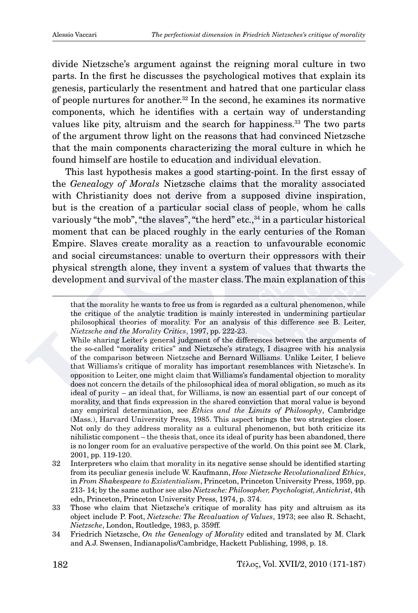divide Nietzsche's argument against the reigning moral culture in two parts. In the first he discusses the psychological motives that explain its genesis, particularly the resentment and hatred that one particular class of people nurtures for another.<sup>32</sup> In the second, he examines its normative components, which he identifies with a certain way of understanding values like pity, altruism and the search for happiness.<sup>33</sup> The two parts of the argument throw light on the reasons that had convinced Nietzsche that the main components characterizing the moral culture in which he found himself are hostile to education and individual elevation.

This last hypothesis makes a good starting-point. In the first essay of the *Genealogy of Morals* Nietzsche claims that the morality associated with Christianity does not derive from a supposed divine inspiration, but is the creation of a particular social class of people, whom he calls variously "the mob", "the slaves", "the herd" etc., <sup>34</sup> in a particular historical moment that can be placed roughly in the early centuries of the Roman Empire. Slaves create morality as a reaction to unfavourable economic and social circumstances: unable to overturn their oppressors with their physical strength alone, they invent a system of values that thwarts the development and survival of the master class. The main explanation of this

that the morality he wants to free us from is regarded as a cultural phenomenon, while the critique of the analytic tradition is mainly interested in undermining particular philosophical theories of morality. For an analysis of this difference see B. Leiter, *Nietzsche and the Morality Critics*, 1997, pp. 222-23.

While sharing Leiter's general judgment of the differences between the arguments of the so-called "morality critics" and Nietzsche's strategy, I disagree with his analysis of the comparison between Nietzsche and Bernard Williams. Unlike Leiter, I believe that Williams's critique of morality has important resemblances with Nietzsche's. In opposition to Leiter, one might claim that Williams's fundamental objection to morality does not concern the details of the philosophical idea of moral obligation, so much as its ideal of purity – an ideal that, for Williams, is now an essential part of our concept of morality, and that finds expression in the shared conviction that moral value is beyond any empirical determination, see *Ethics and the Limits of Philosophy*, Cambridge (Mass.), Harvard University Press, 1985. This aspect brings the two strategies closer. Not only do they address morality as a cultural phenomenon, but both criticize its nihilistic component – the thesis that, once its ideal of purity has been abandoned, there is no longer room for an evaluative perspective of the world. On this point see M. Clark, 2001, pp. 119-120.

<sup>32</sup> Interpreters who claim that morality in its negative sense should be identified starting from its peculiar genesis include W. Kaufmann, *How Nietzsche Revolutionalized Ethics*, in *From Shakespeare to Existentialism*, Princeton, Princeton University Press, 1959, pp. 213- 14; by the same author see also *Nietzsche: Philosopher, Psychologist, Antichrist*, 4th edn, Princeton, Princeton University Press, 1974, p. 374.

<sup>33</sup> Those who claim that Nietzsche's critique of morality has pity and altruism as its object include P. Foot, *Nietzsche: The Revaluation of Values*, 1973; see also R. Schacht, *Nietzsche*, London, Routledge, 1983, p. 359ff.

<sup>34</sup> Friedrich Nietzsche, *On the Genealogy of Morality* edited and translated by M. Clark and A.J. Swensen, Indianapolis/Cambridge, Hackett Publishing, 1998, p. 18.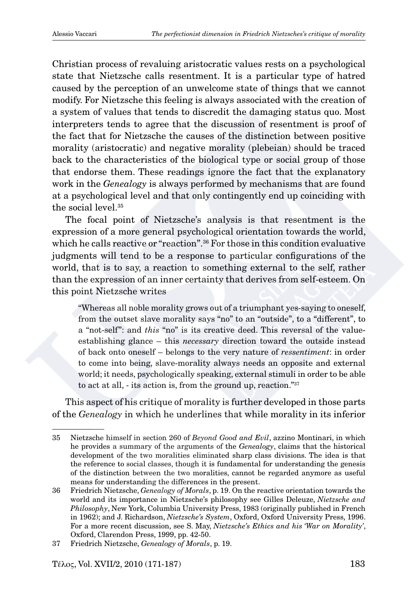Christian process of revaluing aristocratic values rests on a psychological state that Nietzsche calls resentment. It is a particular type of hatred caused by the perception of an unwelcome state of things that we cannot modify. For Nietzsche this feeling is always associated with the creation of a system of values that tends to discredit the damaging status quo. Most interpreters tends to agree that the discussion of resentment is proof of the fact that for Nietzsche the causes of the distinction between positive morality (aristocratic) and negative morality (plebeian) should be traced back to the characteristics of the biological type or social group of those that endorse them. These readings ignore the fact that the explanatory work in the *Genealogy* is always performed by mechanisms that are found at a psychological level and that only contingently end up coinciding with the social level.<sup>35</sup>

The focal point of Nietzsche's analysis is that resentment is the expression of a more general psychological orientation towards the world, which he calls reactive or "reaction".<sup>36</sup> For those in this condition evaluative judgments will tend to be a response to particular configurations of the world, that is to say, a reaction to something external to the self, rather than the expression of an inner certainty that derives from self-esteem. On this point Nietzsche writes

"Whereas all noble morality grows out of a triumphant yes-saying to oneself, from the outset slave morality says "no" to an "outside", to a "different", to a "not-self": and *this* "no" is its creative deed. This reversal of the valueestablishing glance – this *necessary* direction toward the outside instead of back onto oneself – belongs to the very nature of *ressentiment*: in order to come into being, slave-morality always needs an opposite and external world; it needs, psychologically speaking, external stimuli in order to be able to act at all, - its action is, from the ground up, reaction."37

This aspect of his critique of morality is further developed in those parts of the *Genealogy* in which he underlines that while morality in its inferior

 $T\hat{\epsilon} \lambda$ oς, Vol. XVII/2, 2010 (171-187) 183

<sup>35</sup> Nietzsche himself in section 260 of *Beyond Good and Evil*, azzino Montinari, in which he provides a summary of the arguments of the *Genealogy*, claims that the historical development of the two moralities eliminated sharp class divisions. The idea is that the reference to social classes, though it is fundamental for understanding the genesis of the distinction between the two moralities, cannot be regarded anymore as useful means for understanding the differences in the present.

<sup>36</sup> Friedrich Nietzsche, *Genealogy of Morals*, p. 19. On the reactive orientation towards the world and its importance in Nietzsche's philosophy see Gilles Deleuze, *Nietzsche and Philosophy*, New York, Columbia University Press, 1983 (originally published in French in 1962); and J. Richardson, *Nietzsche's System*, Oxford, Oxford University Press, 1996. For a more recent discussion, see S. May, *Nietzsche's Ethics and his 'War on Morality'*, Oxford, Clarendon Press, 1999, pp. 42-50.

<sup>37</sup> Friedrich Nietzsche, *Genealogy of Morals*, p. 19.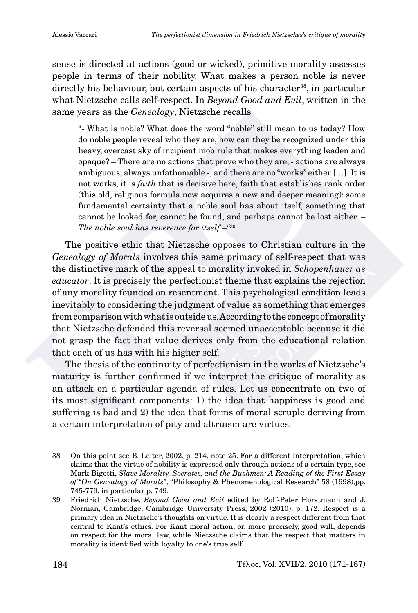sense is directed at actions (good or wicked), primitive morality assesses people in terms of their nobility. What makes a person noble is never directly his behaviour, but certain aspects of his character<sup>38</sup>, in particular what Nietzsche calls self-respect. In *Beyond Good and Evil*, written in the same years as the *Genealogy*, Nietzsche recalls

"- What is noble? What does the word "noble" still mean to us today? How do noble people reveal who they are, how can they be recognized under this heavy, overcast sky of incipient mob rule that makes everything leaden and opaque? – There are no actions that prove who they are, - actions are always ambiguous, always unfathomable -; and there are no "works" either […]. It is not works, it is *faith* that is decisive here, faith that establishes rank order (this old, religious formula now acquires a new and deeper meaning): some fundamental certainty that a noble soul has about itself, something that cannot be looked for, cannot be found, and perhaps cannot be lost either. – *The noble soul has reverence for itself*.–"39

The positive ethic that Nietzsche opposes to Christian culture in the *Genealogy of Morals* involves this same primacy of self-respect that was the distinctive mark of the appeal to morality invoked in *Schopenhauer as educator*. It is precisely the perfectionist theme that explains the rejection of any morality founded on resentment. This psychological condition leads inevitably to considering the judgment of value as something that emerges from comparison with what is outside us. According to the concept of morality that Nietzsche defended this reversal seemed unacceptable because it did not grasp the fact that value derives only from the educational relation that each of us has with his higher self.

The thesis of the continuity of perfectionism in the works of Nietzsche's maturity is further confirmed if we interpret the critique of morality as an attack on a particular agenda of rules. Let us concentrate on two of its most significant components: 1) the idea that happiness is good and suffering is bad and 2) the idea that forms of moral scruple deriving from a certain interpretation of pity and altruism are virtues.

<sup>38</sup> On this point see B. Leiter, 2002, p. 214, note 25. For a different interpretation, which claims that the virtue of nobility is expressed only through actions of a certain type, see Mark Bigotti, *Slave Morality, Socrates, and the Bushmen: A Reading of the First Essay of "On Genealogy of Morals*", "Philosophy & Phenomenological Research" 58 (1998),pp. 745-779, in particular p. 749.

<sup>39</sup> Friedrich Nietzsche, *Beyond Good and Evil* edited by Rolf-Peter Horstmann and J. Norman, Cambridge, Cambridge University Press, 2002 (2010), p. 172. Respect is a primary idea in Nietzsche's thoughts on virtue. It is clearly a respect different from that central to Kant's ethics. For Kant moral action, or, more precisely, good will, depends on respect for the moral law, while Nietzsche claims that the respect that matters in morality is identified with loyalty to one's true self.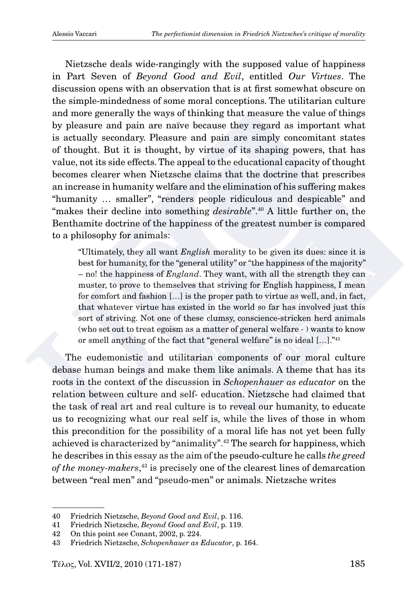Nietzsche deals wide-rangingly with the supposed value of happiness in Part Seven of *Beyond Good and Evil*, entitled *Our Virtues*. The discussion opens with an observation that is at first somewhat obscure on the simple-mindedness of some moral conceptions. The utilitarian culture and more generally the ways of thinking that measure the value of things by pleasure and pain are naïve because they regard as important what is actually secondary. Pleasure and pain are simply concomitant states of thought. But it is thought, by virtue of its shaping powers, that has value, not its side effects. The appeal to the educational capacity of thought becomes clearer when Nietzsche claims that the doctrine that prescribes an increase in humanity welfare and the elimination of his suffering makes "humanity … smaller", "renders people ridiculous and despicable" and "makes their decline into something *desirable*".40 A little further on, the Benthamite doctrine of the happiness of the greatest number is compared to a philosophy for animals:

"Ultimately, they all want *English* morality to be given its dues: since it is best for humanity, for the "general utility" or "the happiness of the majority" – no! the happiness of *England*. They want, with all the strength they can muster, to prove to themselves that striving for English happiness, I mean for comfort and fashion […] is the proper path to virtue as well, and, in fact, that whatever virtue has existed in the world so far has involved just this sort of striving. Not one of these clumsy, conscience-stricken herd animals (who set out to treat egoism as a matter of general welfare - ) wants to know or smell anything of the fact that "general welfare" is no ideal […]."41

The eudemonistic and utilitarian components of our moral culture debase human beings and make them like animals. A theme that has its roots in the context of the discussion in *Schopenhauer as educator* on the relation between culture and self- education. Nietzsche had claimed that the task of real art and real culture is to reveal our humanity, to educate us to recognizing what our real self is, while the lives of those in whom this precondition for the possibility of a moral life has not yet been fully achieved is characterized by "animality".42 The search for happiness, which he describes in this essay as the aim of the pseudo-culture he calls *the greed of the money-makers*, 43 is precisely one of the clearest lines of demarcation between "real men" and "pseudo-men" or animals. Nietzsche writes

<sup>40</sup> Friedrich Nietzsche, *Beyond Good and Evil*, p. 116.

<sup>41</sup> Friedrich Nietzsche, *Beyond Good and Evil*, p. 119.

<sup>42</sup> On this point see Conant, 2002, p. 224.

<sup>43</sup> Friedrich Nietzsche, *Schopenhauer as Educator*, p. 164.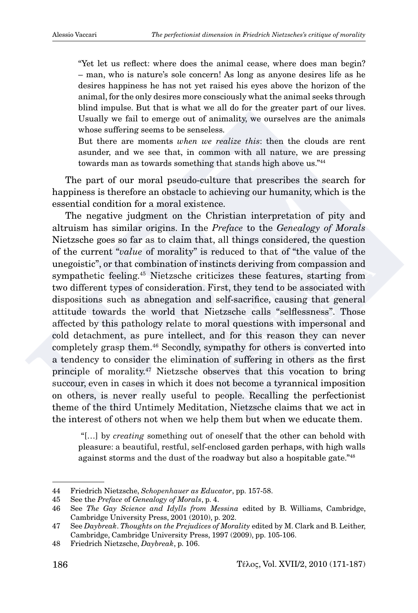"Yet let us reflect: where does the animal cease, where does man begin? – man, who is nature's sole concern! As long as anyone desires life as he desires happiness he has not yet raised his eyes above the horizon of the animal, for the only desires more consciously what the animal seeks through blind impulse. But that is what we all do for the greater part of our lives. Usually we fail to emerge out of animality, we ourselves are the animals whose suffering seems to be senseless.

But there are moments *when we realize this*: then the clouds are rent asunder, and we see that, in common with all nature, we are pressing towards man as towards something that stands high above us."44

The part of our moral pseudo-culture that prescribes the search for happiness is therefore an obstacle to achieving our humanity, which is the essential condition for a moral existence.

The negative judgment on the Christian interpretation of pity and altruism has similar origins. In the *Preface* to the *Genealogy of Morals* Nietzsche goes so far as to claim that, all things considered, the question of the current "*value* of morality" is reduced to that of "the value of the unegoistic", or that combination of instincts deriving from compassion and sympathetic feeling.45 Nietzsche criticizes these features, starting from two different types of consideration. First, they tend to be associated with dispositions such as abnegation and self-sacrifice, causing that general attitude towards the world that Nietzsche calls "selflessness". Those affected by this pathology relate to moral questions with impersonal and cold detachment, as pure intellect, and for this reason they can never completely grasp them.46 Secondly, sympathy for others is converted into a tendency to consider the elimination of suffering in others as the first principle of morality.47 Nietzsche observes that this vocation to bring succour, even in cases in which it does not become a tyrannical imposition on others, is never really useful to people. Recalling the perfectionist theme of the third Untimely Meditation, Nietzsche claims that we act in the interest of others not when we help them but when we educate them.

 "[…] by *creating* something out of oneself that the other can behold with pleasure: a beautiful, restful, self-enclosed garden perhaps, with high walls against storms and the dust of the roadway but also a hospitable gate."48

<sup>44</sup> Friedrich Nietzsche, *Schopenhauer as Educator*, pp. 157-58.

<sup>45</sup> See the *Preface* of *Genealogy of Morals*, p. 4.

<sup>46</sup> See *The Gay Science and Idylls from Messina* edited by B. Williams, Cambridge, Cambridge University Press, 2001 (2010), p. 202.

<sup>47</sup> See *Daybreak*. *Thoughts on the Prejudices of Morality* edited by M. Clark and B. Leither, Cambridge, Cambridge University Press, 1997 (2009), pp. 105-106.

<sup>48</sup> Friedrich Nietzsche, *Daybreak*, p. 106.